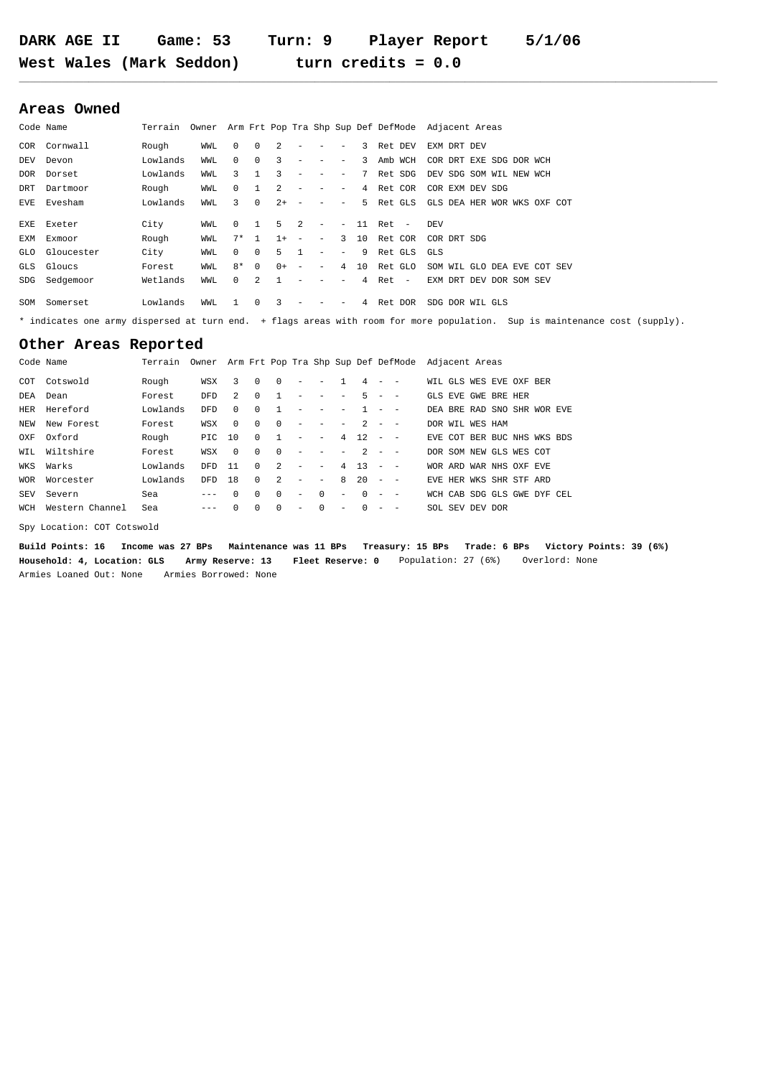## **Areas Owned**

| Code Name |                |          |     |              |                |                |                          |                          |                          |                |            | Terrain Owner Arm Frt Pop Tra Shp Sup Def DefMode Adjacent Areas |
|-----------|----------------|----------|-----|--------------|----------------|----------------|--------------------------|--------------------------|--------------------------|----------------|------------|------------------------------------------------------------------|
| COR       | Cornwall       | Rough    | WWL | $\Omega$     | $\Omega$       | $\mathfrak{D}$ | $\overline{\phantom{a}}$ | $\qquad \qquad -$        | $\qquad \qquad -$        |                | 3 Ret DEV  | EXM DRT DEV                                                      |
| DEV       | Devon          | Lowlands | WWL | $\Omega$     | $\Omega$       | 3              | -                        | $\qquad \qquad -$        | $\qquad \qquad -$        |                | 3 Amb WCH  | COR DRT EXE SDG DOR WCH                                          |
| DOR       | Dorset         | Lowlands | WWL | 3            | -1             | 3              | $\overline{\phantom{0}}$ | $\qquad \qquad -$        | $\qquad \qquad -$        |                | 7 Ret SDG  | DEV SDG SOM WIL NEW WCH                                          |
| DRT       | Dartmoor       | Rough    | WWL | $\mathbf{0}$ |                | $\mathfrak{D}$ | $\overline{\phantom{a}}$ | $\overline{\phantom{a}}$ | $\qquad \qquad -$        |                | 4 Ret COR  | COR EXM DEV SDG                                                  |
| EVE       | Evesham        | Lowlands | WWL | 3            | $\Omega$       | $2+ -$         |                          | $\overline{\phantom{0}}$ | $\overline{\phantom{a}}$ |                | 5 Ret GLS  | GLS DEA HER WOR WKS OXF COT                                      |
| EXE       | Exeter         | City     | WWL | $\Omega$     | $\overline{1}$ | $5 \quad 2$    |                          | $\overline{\phantom{a}}$ | $\overline{\phantom{a}}$ |                | 11 Ret -   | DEV                                                              |
| EXM       | Exmoor         | Rough    | WWL | $7*$         | 1              | $1 +$          | $\sim$                   | $\overline{\phantom{a}}$ | 3                        |                | 10 Ret COR | COR DRT SDG                                                      |
|           | GLO Gloucester | City     | WWL | $\Omega$     | $\Omega$       | 5.             | $\mathbf{1}$             | $\overline{\phantom{a}}$ | $\qquad \qquad -$        |                | 9 Ret GLS  | GLS                                                              |
|           | GLS Gloucs     | Forest   | WWL | $8*$         | $\Omega$       | $0+ -$         |                          | $\overline{\phantom{a}}$ | $\overline{4}$           |                | 10 Ret GLO | SOM WIL GLO DEA EVE COT SEV                                      |
| SDG       | Sedgemoor      | Wetlands | WWL | $\Omega$     | $\mathcal{L}$  |                |                          |                          |                          | 4              | Ret -      | EXM DRT DEV DOR SOM SEV                                          |
| SOM       | Somerset       | Lowlands | WWL | $\mathbf{1}$ | $\Omega$       | 3              | -                        | $\overline{\phantom{a}}$ | $\qquad \qquad -$        | $\overline{4}$ | Ret DOR    | SDG DOR WIL GLS                                                  |

\* indicates one army dispersed at turn end. + flags areas with room for more population. Sup is maintenance cost (supply).

**\_\_\_\_\_\_\_\_\_\_\_\_\_\_\_\_\_\_\_\_\_\_\_\_\_\_\_\_\_\_\_\_\_\_\_\_\_\_\_\_\_\_\_\_\_\_\_\_\_\_\_\_\_\_\_\_\_\_\_\_\_\_\_\_\_\_\_\_\_\_\_\_\_\_\_\_\_\_\_\_\_\_\_\_\_\_\_\_\_\_\_\_\_\_\_\_\_\_\_\_\_\_\_\_\_\_\_\_\_\_\_\_\_\_\_\_\_\_\_\_\_\_\_\_\_\_\_\_\_\_**

## **Other Areas Reported**

|     | Rough                                                                                                                                                             | WSX  | 3              | $\Omega$                   | $^{\circ}$     | $\overline{\phantom{a}}$ | $\sim$                          |                          |   | $\sim$ |                                       | WIL GLS WES EVE OXF BER                                                                                                                                                                                                                                                                                     |
|-----|-------------------------------------------------------------------------------------------------------------------------------------------------------------------|------|----------------|----------------------------|----------------|--------------------------|---------------------------------|--------------------------|---|--------|---------------------------------------|-------------------------------------------------------------------------------------------------------------------------------------------------------------------------------------------------------------------------------------------------------------------------------------------------------------|
|     | Forest                                                                                                                                                            | DFD  | $\overline{2}$ | $^{\circ}$                 |                | $\overline{\phantom{a}}$ | $\overline{\phantom{0}}$        |                          |   |        |                                       | GLS EVE GWE BRE HER                                                                                                                                                                                                                                                                                         |
|     | Lowlands                                                                                                                                                          | DFD. | $\Omega$       | 0                          |                | $\overline{\phantom{a}}$ | $\hspace{0.1mm}-\hspace{0.1mm}$ | $-$                      |   |        |                                       | DEA BRE RAD SNO SHR WOR EVE                                                                                                                                                                                                                                                                                 |
|     | Forest                                                                                                                                                            | WSX  | $\Omega$       | $\Omega$                   | $\Omega$       | $\overline{\phantom{a}}$ | $\sim$                          | $\sim$                   |   |        |                                       | DOR WIL WES HAM                                                                                                                                                                                                                                                                                             |
|     | Rough                                                                                                                                                             |      |                | $\Omega$                   |                | $\overline{\phantom{a}}$ | $\hspace{0.1mm}-\hspace{0.1mm}$ |                          |   |        |                                       | EVE COT BER BUC NHS WKS BDS                                                                                                                                                                                                                                                                                 |
|     | Forest                                                                                                                                                            | WSX  | $\Omega$       | $\Omega$                   | $\Omega$       | $\overline{\phantom{a}}$ | $\overline{\phantom{a}}$        |                          |   |        |                                       | DOR SOM NEW GLS WES COT                                                                                                                                                                                                                                                                                     |
|     | Lowlands                                                                                                                                                          |      |                | $\Omega$                   | $\overline{2}$ | $\overline{\phantom{a}}$ | $\sim$                          |                          |   |        |                                       | WOR ARD WAR NHS OXF EVE                                                                                                                                                                                                                                                                                     |
|     | Lowlands                                                                                                                                                          |      |                | $\Omega$                   | $\overline{2}$ | $\overline{\phantom{a}}$ | $\sim$                          |                          |   |        |                                       | EVE HER WKS SHR STF ARD                                                                                                                                                                                                                                                                                     |
|     | Sea                                                                                                                                                               |      | $\Omega$       | $\Omega$                   | $\Omega$       | $\overline{\phantom{a}}$ | $\Omega$                        | $\overline{\phantom{a}}$ |   |        |                                       | WCH CAB SDG GLS GWE DYF CEL                                                                                                                                                                                                                                                                                 |
|     | Sea                                                                                                                                                               |      | 0              | 0                          | $\Omega$       | $\overline{\phantom{a}}$ | $\Omega$                        | $\overline{\phantom{a}}$ | 0 |        |                                       | SOL SEV DEV DOR                                                                                                                                                                                                                                                                                             |
| NEW | Code Name<br>COT Cotswold<br>DEA Dean<br>HER Hereford<br>New Forest<br>OXF Oxford<br>WIL Wiltshire<br>WKS Warks<br>WOR Worcester<br>Severn<br>WCH Western Channel |      |                | PIC 10<br>DFD 11<br>DFD 18 |                |                          | 1                               |                          |   | $ -$   | 4<br>$\overline{2}$<br>$\overline{0}$ | Terrain Owner Arm Frt Pop Tra Shp Sup Def DefMode Adjacent Areas<br>$\sim$<br>$5 - -$<br>$\frac{1}{2} \left( \frac{1}{2} \right) \left( \frac{1}{2} \right) = \frac{1}{2} \left( \frac{1}{2} \right)$<br>$ -$<br>$4 \t12 - -$<br>$-2 - -$<br>$4 \t13 - -$<br>$8\quad 20 - -$<br>$\qquad \qquad -$<br>$\sim$ |

Spy Location: COT Cotswold

**Build Points: 16 Income was 27 BPs Maintenance was 11 BPs Treasury: 15 BPs Trade: 6 BPs Victory Points: 39 (6%) Household: 4, Location: GLS Army Reserve: 13 Fleet Reserve: 0** Population: 27 (6%) Overlord: None Armies Loaned Out: None Armies Borrowed: None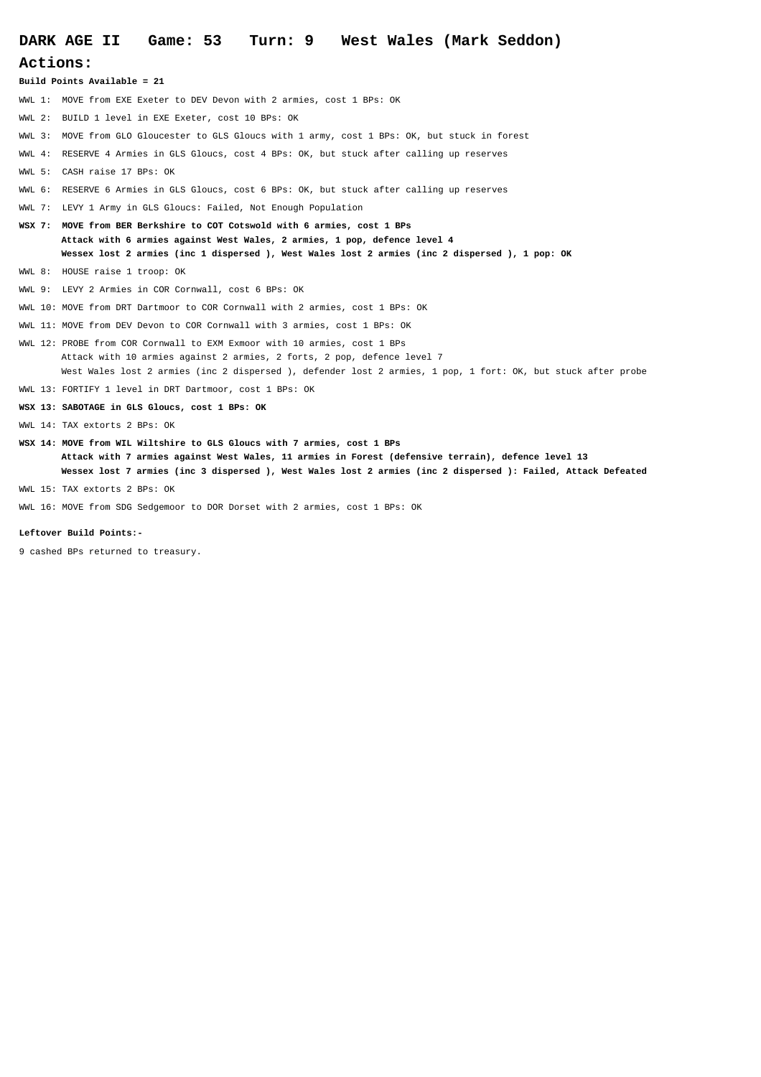# **DARK AGE II Game: 53 Turn: 9 West Wales (Mark Seddon) Actions: Build Points Available = 21** WWL 1: MOVE from EXE Exeter to DEV Devon with 2 armies, cost 1 BPs: OK WWL 2: BUILD 1 level in EXE Exeter, cost 10 BPs: OK WWL 3: MOVE from GLO Gloucester to GLS Gloucs with 1 army, cost 1 BPs: OK, but stuck in forest WWL 4: RESERVE 4 Armies in GLS Gloucs, cost 4 BPs: OK, but stuck after calling up reserves WWL 5: CASH raise 17 BPs: OK WWL 6: RESERVE 6 Armies in GLS Gloucs, cost 6 BPs: OK, but stuck after calling up reserves WWL 7: LEVY 1 Army in GLS Gloucs: Failed, Not Enough Population **WSX 7: MOVE from BER Berkshire to COT Cotswold with 6 armies, cost 1 BPs Attack with 6 armies against West Wales, 2 armies, 1 pop, defence level 4 Wessex lost 2 armies (inc 1 dispersed ), West Wales lost 2 armies (inc 2 dispersed ), 1 pop: OK** WWL 8: HOUSE raise 1 troop: OK WWL 9: LEVY 2 Armies in COR Cornwall, cost 6 BPs: OK WWL 10: MOVE from DRT Dartmoor to COR Cornwall with 2 armies, cost 1 BPs: OK WWL 11: MOVE from DEV Devon to COR Cornwall with 3 armies, cost 1 BPs: OK WWL 12: PROBE from COR Cornwall to EXM Exmoor with 10 armies, cost 1 BPs Attack with 10 armies against 2 armies, 2 forts, 2 pop, defence level 7 West Wales lost 2 armies (inc 2 dispersed ), defender lost 2 armies, 1 pop, 1 fort: OK, but stuck after probe WWL 13: FORTIFY 1 level in DRT Dartmoor, cost 1 BPs: OK **WSX 13: SABOTAGE in GLS Gloucs, cost 1 BPs: OK** WWL 14: TAX extorts 2 BPs: OK **WSX 14: MOVE from WIL Wiltshire to GLS Gloucs with 7 armies, cost 1 BPs Attack with 7 armies against West Wales, 11 armies in Forest (defensive terrain), defence level 13 Wessex lost 7 armies (inc 3 dispersed ), West Wales lost 2 armies (inc 2 dispersed ): Failed, Attack Defeated**

WWL 15: TAX extorts 2 BPs: OK

WWL 16: MOVE from SDG Sedgemoor to DOR Dorset with 2 armies, cost 1 BPs: OK

#### **Leftover Build Points:-**

9 cashed BPs returned to treasury.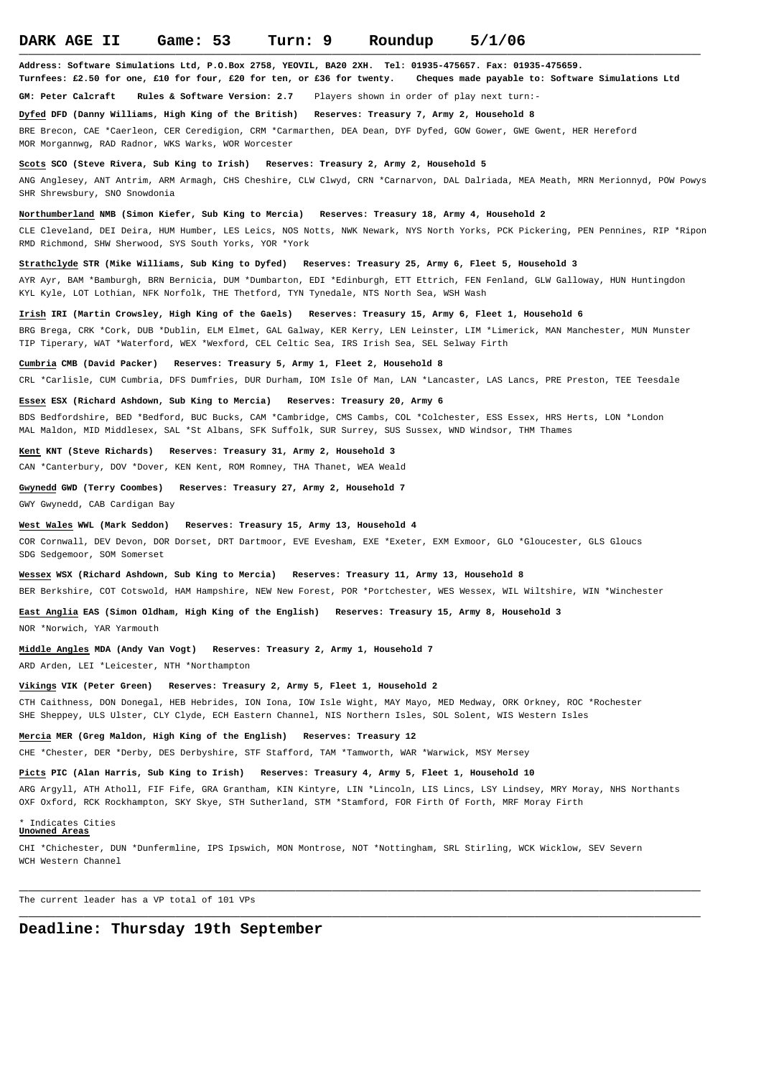**Address: Software Simulations Ltd, P.O.Box 2758, YEOVIL, BA20 2XH. Tel: 01935-475657. Fax: 01935-475659.**

**Turnfees: £2.50 for one, £10 for four, £20 for ten, or £36 for twenty. Cheques made payable to: Software Simulations Ltd**

**GM: Peter Calcraft Rules & Software Version: 2.7** Players shown in order of play next turn:-

**Dyfed DFD (Danny Williams, High King of the British) Reserves: Treasury 7, Army 2, Household 8** 

BRE Brecon, CAE \*Caerleon, CER Ceredigion, CRM \*Carmarthen, DEA Dean, DYF Dyfed, GOW Gower, GWE Gwent, HER Hereford MOR Morgannwg, RAD Radnor, WKS Warks, WOR Worcester

### **Scots SCO (Steve Rivera, Sub King to Irish) Reserves: Treasury 2, Army 2, Household 5**

ANG Anglesey, ANT Antrim, ARM Armagh, CHS Cheshire, CLW Clwyd, CRN \*Carnarvon, DAL Dalriada, MEA Meath, MRN Merionnyd, POW Powys SHR Shrewsbury, SNO Snowdonia

**Northumberland NMB (Simon Kiefer, Sub King to Mercia) Reserves: Treasury 18, Army 4, Household 2** 

CLE Cleveland, DEI Deira, HUM Humber, LES Leics, NOS Notts, NWK Newark, NYS North Yorks, PCK Pickering, PEN Pennines, RIP \*Ripon RMD Richmond, SHW Sherwood, SYS South Yorks, YOR \*York

**Strathclyde STR (Mike Williams, Sub King to Dyfed) Reserves: Treasury 25, Army 6, Fleet 5, Household 3** 

AYR Ayr, BAM \*Bamburgh, BRN Bernicia, DUM \*Dumbarton, EDI \*Edinburgh, ETT Ettrich, FEN Fenland, GLW Galloway, HUN Huntingdon KYL Kyle, LOT Lothian, NFK Norfolk, THE Thetford, TYN Tynedale, NTS North Sea, WSH Wash

**Irish IRI (Martin Crowsley, High King of the Gaels) Reserves: Treasury 15, Army 6, Fleet 1, Household 6** 

BRG Brega, CRK \*Cork, DUB \*Dublin, ELM Elmet, GAL Galway, KER Kerry, LEN Leinster, LIM \*Limerick, MAN Manchester, MUN Munster TIP Tiperary, WAT \*Waterford, WEX \*Wexford, CEL Celtic Sea, IRS Irish Sea, SEL Selway Firth

#### **Cumbria CMB (David Packer) Reserves: Treasury 5, Army 1, Fleet 2, Household 8**

CRL \*Carlisle, CUM Cumbria, DFS Dumfries, DUR Durham, IOM Isle Of Man, LAN \*Lancaster, LAS Lancs, PRE Preston, TEE Teesdale

### **Essex ESX (Richard Ashdown, Sub King to Mercia) Reserves: Treasury 20, Army 6**

BDS Bedfordshire, BED \*Bedford, BUC Bucks, CAM \*Cambridge, CMS Cambs, COL \*Colchester, ESS Essex, HRS Herts, LON \*London MAL Maldon, MID Middlesex, SAL \*St Albans, SFK Suffolk, SUR Surrey, SUS Sussex, WND Windsor, THM Thames

### **Kent KNT (Steve Richards) Reserves: Treasury 31, Army 2, Household 3**

CAN \*Canterbury, DOV \*Dover, KEN Kent, ROM Romney, THA Thanet, WEA Weald

### **Gwynedd GWD (Terry Coombes) Reserves: Treasury 27, Army 2, Household 7**

GWY Gwynedd, CAB Cardigan Bay

### **West Wales WWL (Mark Seddon) Reserves: Treasury 15, Army 13, Household 4**

COR Cornwall, DEV Devon, DOR Dorset, DRT Dartmoor, EVE Evesham, EXE \*Exeter, EXM Exmoor, GLO \*Gloucester, GLS Gloucs SDG Sedgemoor, SOM Somerset

**Wessex WSX (Richard Ashdown, Sub King to Mercia) Reserves: Treasury 11, Army 13, Household 8** 

BER Berkshire, COT Cotswold, HAM Hampshire, NEW New Forest, POR \*Portchester, WES Wessex, WIL Wiltshire, WIN \*Winchester

**East Anglia EAS (Simon Oldham, High King of the English) Reserves: Treasury 15, Army 8, Household 3**

NOR \*Norwich, YAR Yarmouth

### **Middle Angles MDA (Andy Van Vogt) Reserves: Treasury 2, Army 1, Household 7**

ARD Arden, LEI \*Leicester, NTH \*Northampton

### **Vikings VIK (Peter Green) Reserves: Treasury 2, Army 5, Fleet 1, Household 2**

CTH Caithness, DON Donegal, HEB Hebrides, ION Iona, IOW Isle Wight, MAY Mayo, MED Medway, ORK Orkney, ROC \*Rochester SHE Sheppey, ULS Ulster, CLY Clyde, ECH Eastern Channel, NIS Northern Isles, SOL Solent, WIS Western Isles

**Mercia MER (Greg Maldon, High King of the English) Reserves: Treasury 12** 

CHE \*Chester, DER \*Derby, DES Derbyshire, STF Stafford, TAM \*Tamworth, WAR \*Warwick, MSY Mersey

### **Picts PIC (Alan Harris, Sub King to Irish) Reserves: Treasury 4, Army 5, Fleet 1, Household 10**

ARG Argyll, ATH Atholl, FIF Fife, GRA Grantham, KIN Kintyre, LIN \*Lincoln, LIS Lincs, LSY Lindsey, MRY Moray, NHS Northants OXF Oxford, RCK Rockhampton, SKY Skye, STH Sutherland, STM \*Stamford, FOR Firth Of Forth, MRF Moray Firth

**\_\_\_\_\_\_\_\_\_\_\_\_\_\_\_\_\_\_\_\_\_\_\_\_\_\_\_\_\_\_\_\_\_\_\_\_\_\_\_\_\_\_\_\_\_\_\_\_\_\_\_\_\_\_\_\_\_\_\_\_\_\_\_\_\_\_\_\_\_\_\_\_\_\_**

#### Indicates Cities **Unowned Areas**

CHI \*Chichester, DUN \*Dunfermline, IPS Ipswich, MON Montrose, NOT \*Nottingham, SRL Stirling, WCK Wicklow, SEV Severn WCH Western Channel

The current leader has a VP total of 101 VPs **\_\_\_\_\_\_\_\_\_\_\_\_\_\_\_\_\_\_\_\_\_\_\_\_\_\_\_\_\_\_\_\_\_\_\_\_\_\_\_\_\_\_\_\_\_\_\_\_\_\_\_\_\_\_\_\_\_\_\_\_\_\_\_\_\_\_\_\_\_\_\_\_\_\_**

## **Deadline: Thursday 19th September**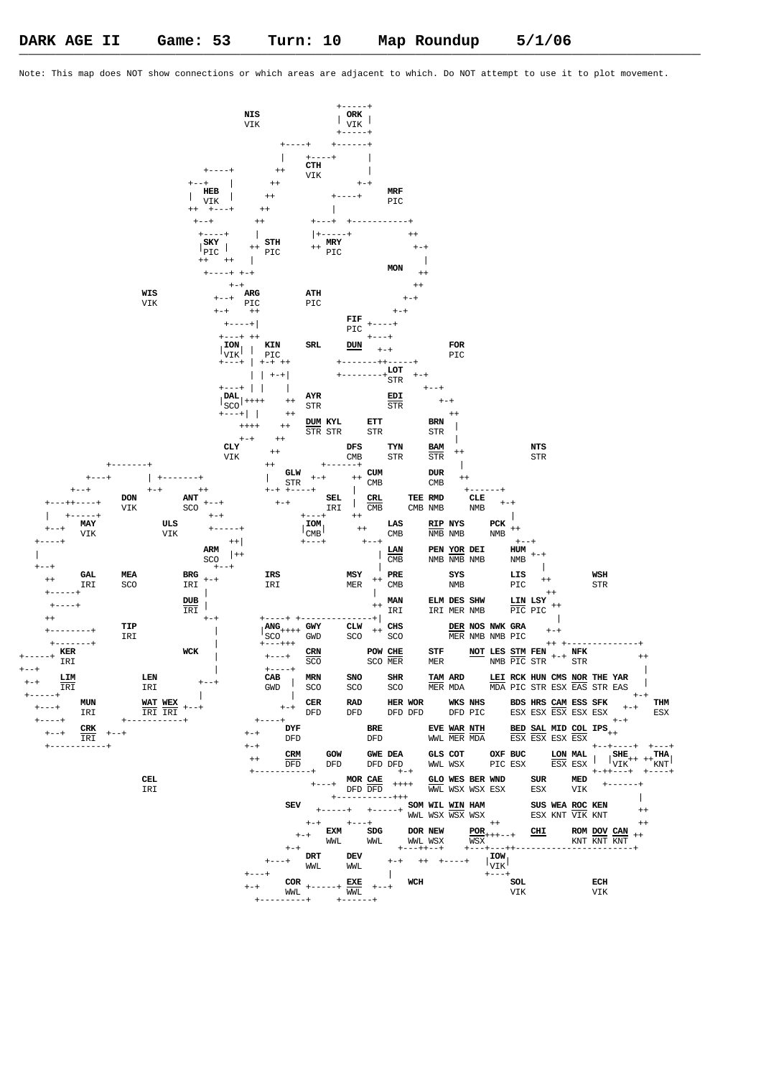Note: This map does NOT show connections or which areas are adjacent to which. Do NOT attempt to use it to plot movement.

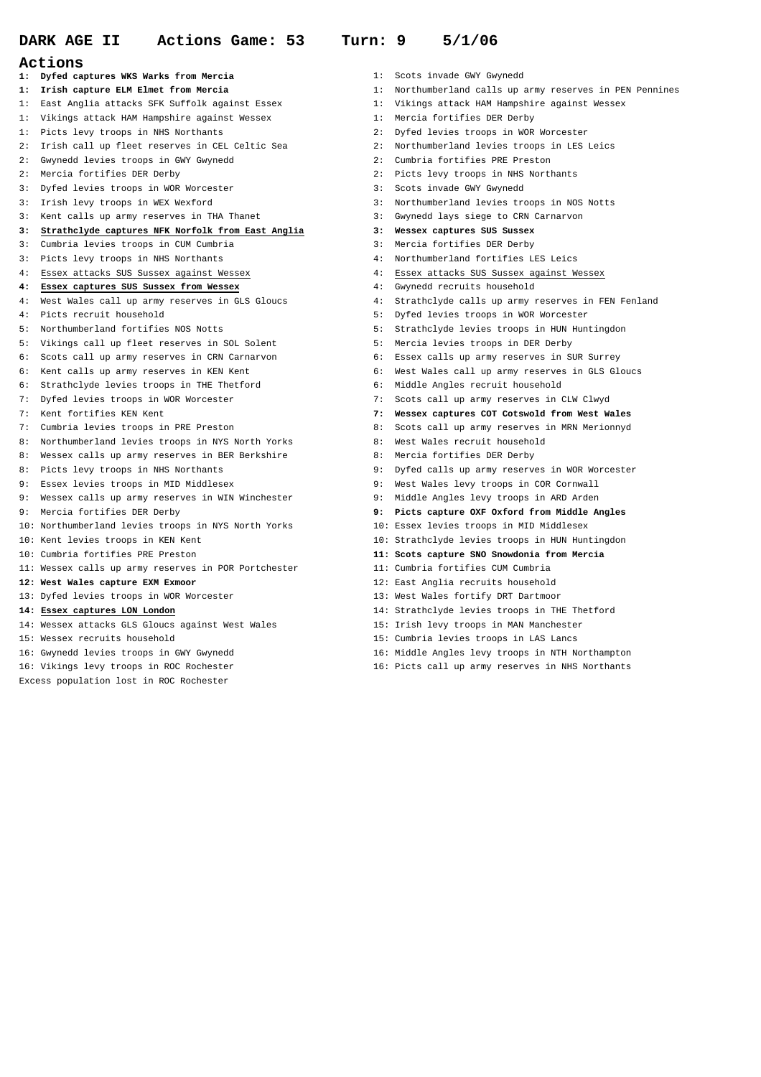- **Actions**
- **1: Dyfed captures WKS Warks from Mercia** 1: Scots invade GWY Gwynedd
- 
- 1: East Anglia attacks SFK Suffolk against Essex 1: Vikings attack HAM Hampshire against Wessex
- 1: Vikings attack HAM Hampshire against Wessex 1: Mercia fortifies DER Derby
- 1: Picts levy troops in NHS Northants 2: Dyfed levies troops in WOR Worcester
- 2: Irish call up fleet reserves in CEL Celtic Sea 2: Northumberland levies troops in LES Leics
- 2: Gwynedd levies troops in GWY Gwynedd 2: Cumbria fortifies PRE Preston
- 
- 3: Dyfed levies troops in WOR Worcester 3: Scots invade GWY Gwynedd
- 
- 3: Kent calls up army reserves in THA Thanet 3: Gwynedd lays siege to CRN Carnarvon

## **3: Strathclyde captures NFK Norfolk from East Anglia 3: Wessex captures SUS Sussex**

- 3: Cumbria levies troops in CUM Cumbria 3: Mercia fortifies DER Derby
- 3: Picts levy troops in NHS Northants 4: Northumberland fortifies LES Leics
- 
- **4: Essex captures SUS Sussex from Wessex** 4: Gwynedd recruits household
- 
- 
- 
- 5: Vikings call up fleet reserves in SOL Solent 5: Mercia levies troops in DER Derby
- 6: Scots call up army reserves in CRN Carnarvon 6: Essex calls up army reserves in SUR Surrey
- 
- 6: Strathclyde levies troops in THE Thetford 6: Middle Angles recruit household
- 
- 
- 
- 8: Northumberland levies troops in NYS North Yorks 8: West Wales recruit household
- 8: Wessex calls up army reserves in BER Berkshire 8: Mercia fortifies DER Derby
- 
- 
- 9: Wessex calls up army reserves in WIN Winchester 9: Middle Angles levy troops in ARD Arden
- 
- 10: Northumberland levies troops in NYS North Yorks 10: Essex levies troops in MID Middlesex
- 
- 
- 
- 
- 
- 
- 
- 
- 
- 
- Excess population lost in ROC Rochester
- 
- **1: Irish capture ELM Elmet from Mercia** 1: Northumberland calls up army reserves in PEN Pennines
	-
	-
	-
	-
	-
- 2: Mercia fortifies DER Derby 2: Picts levy troops in NHS Northants
	-
- 3: Irish levy troops in WEX Wexford 3: Northumberland levies troops in NOS Notts
	-
	-
	-
	-
- 4: Essex attacks SUS Sussex against Wessex 4: Essex attacks SUS Sussex against Wessex
	-
- 4: West Wales call up army reserves in GLS Gloucs 4: Strathclyde calls up army reserves in FEN Fenland
- 4: Picts recruit household 5: Dyfed levies troops in WOR Worcester
- 5: Northumberland fortifies NOS Notts 5: Strathclyde levies troops in HUN Huntingdon
	-
	-
- 6: Kent calls up army reserves in KEN Kent 6: West Wales call up army reserves in GLS Gloucs
	-
- 7: Dyfed levies troops in WOR Worcester 7: Scots call up army reserves in CLW Clwyd
- 7: Kent fortifies KEN Kent **7: Wessex captures COT Cotswold from West Wales**
- 7: Cumbria levies troops in PRE Preston 8: Scots call up army reserves in MRN Merionnyd
	-
	-
- 8: Picts levy troops in NHS Northants 19: 1998 9: Dyfed calls up army reserves in WOR Worcester
- 9: Essex levies troops in MID Middlesex 9: West Wales levy troops in COR Cornwall
	-
- 9: Mercia fortifies DER Derby **9: Picts capture OXF Oxford from Middle Angles**
	-
- 10: Kent levies troops in KEN Kent 10: Strathclyde levies troops in HUN Huntingdon
- 10: Cumbria fortifies PRE Preston **11: Scots capture SNO Snowdonia from Mercia**
- 11: Wessex calls up army reserves in POR Portchester 11: Cumbria fortifies CUM Cumbria
- **12: West Wales capture EXM Exmoor** 12: East Anglia recruits household
- 13: Dyfed levies troops in WOR Worcester 13: West Wales fortify DRT Dartmoor
- **14: Essex captures LON London** 14: Strathclyde levies troops in THE Thetford
- 14: Wessex attacks GLS Gloucs against West Wales 15: Irish levy troops in MAN Manchester
- 15: Wessex recruits household 15: Cumbria levies troops in LAS Lancs
- 16: Gwynedd levies troops in GWY Gwynedd 16: Middle Angles levy troops in NTH Northampton
- 16: Vikings levy troops in ROC Rochester 16: Picts call up army reserves in NHS Northants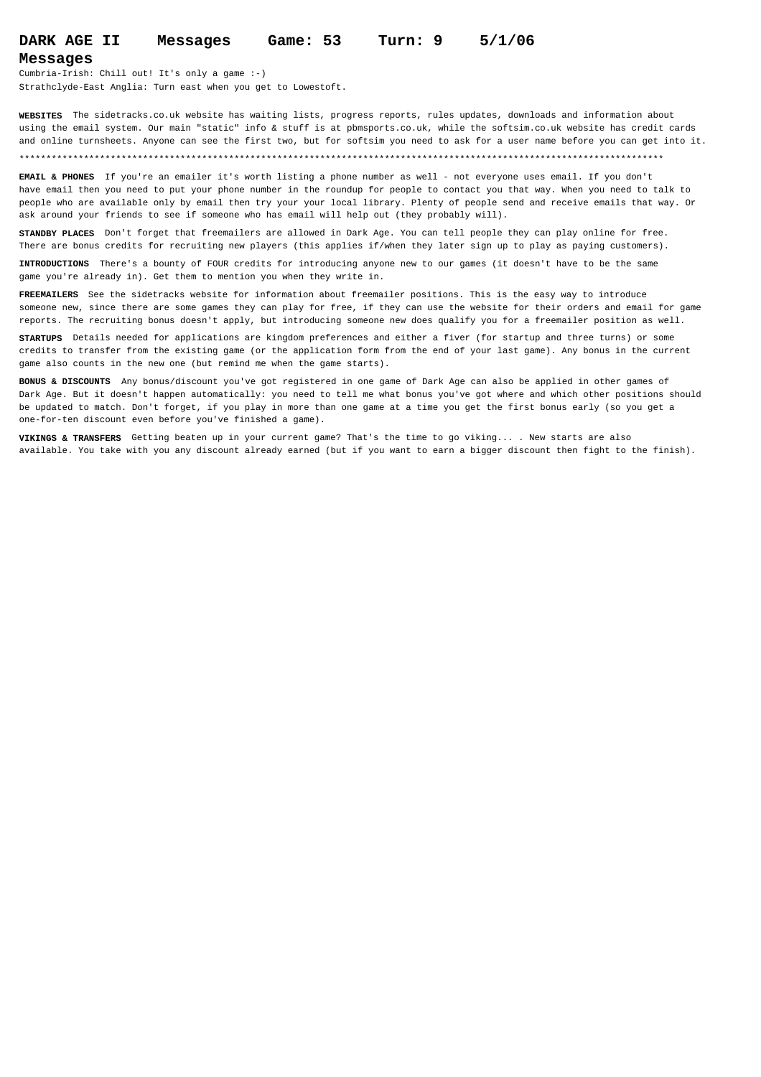## **DARK AGE II Messages Game: 53 Turn: 9 5/1/06**

### **Messages**

Cumbria-Irish: Chill out! It's only a game :-) Strathclyde-East Anglia: Turn east when you get to Lowestoft.

**WEBSITES** The sidetracks.co.uk website has waiting lists, progress reports, rules updates, downloads and information about using the email system. Our main "static" info & stuff is at pbmsports.co.uk, while the softsim.co.uk website has credit cards and online turnsheets. Anyone can see the first two, but for softsim you need to ask for a user name before you can get into it.

### \*\*\*\*\*\*\*\*\*\*\*\*\*\*\*\*\*\*\*\*\*\*\*\*\*\*\*\*\*\*\*\*\*\*\*\*\*\*\*\*\*\*\*\*\*\*\*\*\*\*\*\*\*\*\*\*\*\*\*\*\*\*\*\*\*\*\*\*\*\*\*\*\*\*\*\*\*\*\*\*\*\*\*\*\*\*\*\*\*\*\*\*\*\*\*\*\*\*\*\*\*\*\*\*\*\*\*\*\*\*\*\*\*\*\*\*\*\*\*\*

**EMAIL & PHONES** If you're an emailer it's worth listing a phone number as well - not everyone uses email. If you don't have email then you need to put your phone number in the roundup for people to contact you that way. When you need to talk to people who are available only by email then try your your local library. Plenty of people send and receive emails that way. Or ask around your friends to see if someone who has email will help out (they probably will).

**STANDBY PLACES** Don't forget that freemailers are allowed in Dark Age. You can tell people they can play online for free. There are bonus credits for recruiting new players (this applies if/when they later sign up to play as paying customers).

**INTRODUCTIONS** There's a bounty of FOUR credits for introducing anyone new to our games (it doesn't have to be the same game you're already in). Get them to mention you when they write in.

**FREEMAILERS** See the sidetracks website for information about freemailer positions. This is the easy way to introduce someone new, since there are some games they can play for free, if they can use the website for their orders and email for game reports. The recruiting bonus doesn't apply, but introducing someone new does qualify you for a freemailer position as well.

**STARTUPS** Details needed for applications are kingdom preferences and either a fiver (for startup and three turns) or some credits to transfer from the existing game (or the application form from the end of your last game). Any bonus in the current game also counts in the new one (but remind me when the game starts).

**BONUS & DISCOUNTS** Any bonus/discount you've got registered in one game of Dark Age can also be applied in other games of Dark Age. But it doesn't happen automatically: you need to tell me what bonus you've got where and which other positions should be updated to match. Don't forget, if you play in more than one game at a time you get the first bonus early (so you get a one-for-ten discount even before you've finished a game).

**VIKINGS & TRANSFERS** Getting beaten up in your current game? That's the time to go viking... . New starts are also available. You take with you any discount already earned (but if you want to earn a bigger discount then fight to the finish).